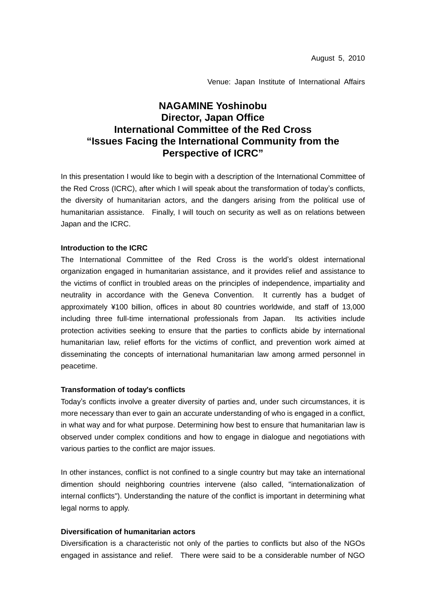Venue: Japan Institute of International Affairs

# **NAGAMINE Yoshinobu Director, Japan Office International Committee of the Red Cross "Issues Facing the International Community from the Perspective of ICRC"**

In this presentation I would like to begin with a description of the International Committee of the Red Cross (ICRC), after which I will speak about the transformation of today's conflicts, the diversity of humanitarian actors, and the dangers arising from the political use of humanitarian assistance. Finally, I will touch on security as well as on relations between Japan and the ICRC.

### **Introduction to the ICRC**

The International Committee of the Red Cross is the world's oldest international organization engaged in humanitarian assistance, and it provides relief and assistance to the victims of conflict in troubled areas on the principles of independence, impartiality and neutrality in accordance with the Geneva Convention. It currently has a budget of approximately ¥100 billion, offices in about 80 countries worldwide, and staff of 13,000 including three full-time international professionals from Japan. Its activities include protection activities seeking to ensure that the parties to conflicts abide by international humanitarian law, relief efforts for the victims of conflict, and prevention work aimed at disseminating the concepts of international humanitarian law among armed personnel in peacetime.

#### **Transformation of today**'**s conflicts**

Today's conflicts involve a greater diversity of parties and, under such circumstances, it is more necessary than ever to gain an accurate understanding of who is engaged in a conflict, in what way and for what purpose. Determining how best to ensure that humanitarian law is observed under complex conditions and how to engage in dialogue and negotiations with various parties to the conflict are major issues.

In other instances, conflict is not confined to a single country but may take an international dimention should neighboring countries intervene (also called, "internationalization of internal conflicts"). Understanding the nature of the conflict is important in determining what legal norms to apply.

#### **Diversification of humanitarian actors**

Diversification is a characteristic not only of the parties to conflicts but also of the NGOs engaged in assistance and relief. There were said to be a considerable number of NGO